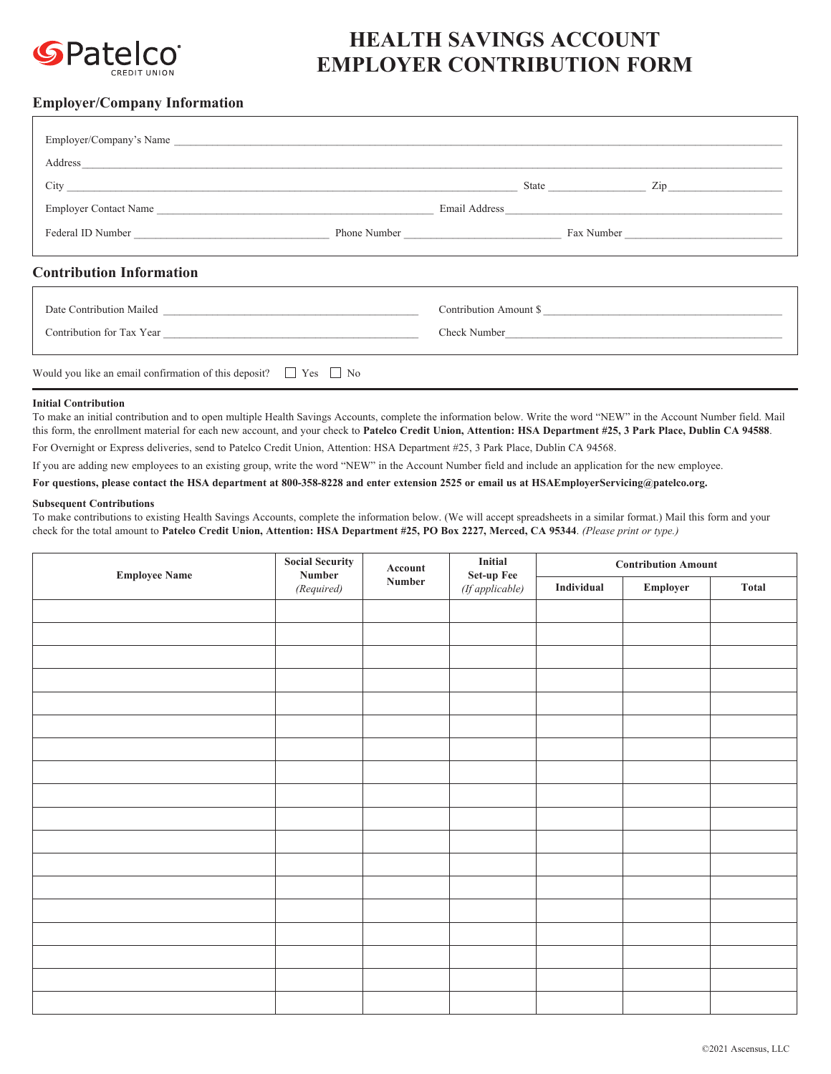

## **HEALTH SAVINGS ACCOUNT EMPLOYER CONTRIBUTION FORM**

## **Employer/Company Information**

| Employer/Company's Name                                                    |  |                        |  |  |
|----------------------------------------------------------------------------|--|------------------------|--|--|
|                                                                            |  |                        |  |  |
|                                                                            |  |                        |  |  |
|                                                                            |  |                        |  |  |
| <b>Contribution Information</b>                                            |  |                        |  |  |
|                                                                            |  | Contribution Amount \$ |  |  |
|                                                                            |  | Check Number           |  |  |
| Would you like an email confirmation of this deposit? $\Box$ Yes $\Box$ No |  |                        |  |  |

## **Initial Contribution**

To make an initial contribution and to open multiple Health Savings Accounts, complete the information below. Write the word "NEW" in the Account Number field. Mail this form, the enrollment material for each new account, and your check to **Patelco Credit Union, Attention: HSA Department #25, 3 Park Place, Dublin CA 94588**.

For Overnight or Express deliveries, send to Patelco Credit Union, Attention: HSA Department #25, 3 Park Place, Dublin CA 94568.

If you are adding new employees to an existing group, write the word "NEW" in the Account Number field and include an application for the new employee.

**For questions, please contact the HSA department at 800-358-8228 and enter extension 2525 or email us at HSAEmployerServicing@patelco.org.**

## **Subsequent Contributions**

To make contributions to existing Health Savings Accounts, complete the information below. (We will accept spreadsheets in a similar format.) Mail this form and your check for the total amount to **Patelco Credit Union, Attention: HSA Department #25, PO Box 2227, Merced, CA 95344**. *(Please print or type.)*

| <b>Employee Name</b> | <b>Social Security</b><br>$\bf Number$<br>(Required) | $\bold{Account}$ | Initial<br>Set-up Fee<br>(If applicable) | <b>Contribution Amount</b> |                  |       |  |
|----------------------|------------------------------------------------------|------------------|------------------------------------------|----------------------------|------------------|-------|--|
|                      |                                                      | Number           |                                          | Individual                 | ${\bf Emplayer}$ | Total |  |
|                      |                                                      |                  |                                          |                            |                  |       |  |
|                      |                                                      |                  |                                          |                            |                  |       |  |
|                      |                                                      |                  |                                          |                            |                  |       |  |
|                      |                                                      |                  |                                          |                            |                  |       |  |
|                      |                                                      |                  |                                          |                            |                  |       |  |
|                      |                                                      |                  |                                          |                            |                  |       |  |
|                      |                                                      |                  |                                          |                            |                  |       |  |
|                      |                                                      |                  |                                          |                            |                  |       |  |
|                      |                                                      |                  |                                          |                            |                  |       |  |
|                      |                                                      |                  |                                          |                            |                  |       |  |
|                      |                                                      |                  |                                          |                            |                  |       |  |
|                      |                                                      |                  |                                          |                            |                  |       |  |
|                      |                                                      |                  |                                          |                            |                  |       |  |
|                      |                                                      |                  |                                          |                            |                  |       |  |
|                      |                                                      |                  |                                          |                            |                  |       |  |
|                      |                                                      |                  |                                          |                            |                  |       |  |
|                      |                                                      |                  |                                          |                            |                  |       |  |
|                      |                                                      |                  |                                          |                            |                  |       |  |